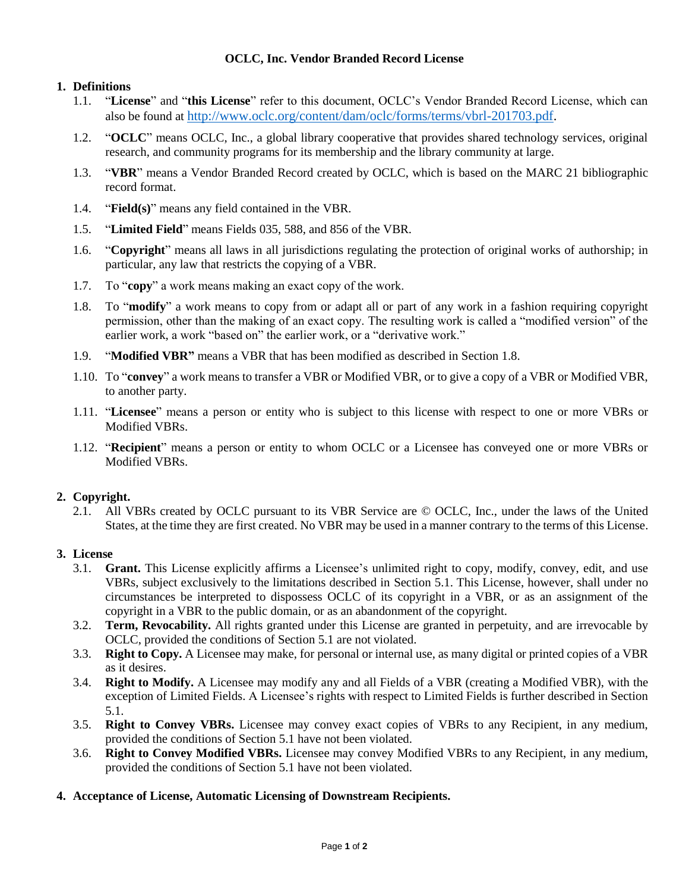### **OCLC, Inc. Vendor Branded Record License**

## **1. Definitions**

- 1.1. "**License**" and "**this License**" refer to this document, OCLC's Vendor Branded Record License, which can also be found at [http://www.oclc.org/content/dam/oclc/forms/terms/vbrl-201703.pdf.](http://www.oclc.org/content/dam/oclc/forms/terms/vbrl-201703.pdf)
- 1.2. "**OCLC**" means OCLC, Inc., a global library cooperative that provides shared technology services, original research, and community programs for its membership and the library community at large.
- 1.3. "**VBR**" means a Vendor Branded Record created by OCLC, which is based on the MARC 21 bibliographic record format.
- 1.4. "**Field(s)**" means any field contained in the VBR.
- 1.5. "**Limited Field**" means Fields 035, 588, and 856 of the VBR.
- 1.6. "**Copyright**" means all laws in all jurisdictions regulating the protection of original works of authorship; in particular, any law that restricts the copying of a VBR.
- 1.7. To "**copy**" a work means making an exact copy of the work.
- 1.8. To "**modify**" a work means to copy from or adapt all or part of any work in a fashion requiring copyright permission, other than the making of an exact copy. The resulting work is called a "modified version" of the earlier work, a work "based on" the earlier work, or a "derivative work."
- 1.9. "**Modified VBR"** means a VBR that has been modified as described in Section 1.8.
- 1.10. To "**convey**" a work means to transfer a VBR or Modified VBR, or to give a copy of a VBR or Modified VBR, to another party.
- 1.11. "**Licensee**" means a person or entity who is subject to this license with respect to one or more VBRs or Modified VBRs.
- 1.12. "**Recipient**" means a person or entity to whom OCLC or a Licensee has conveyed one or more VBRs or Modified VBRs.

### **2. Copyright.**

2.1. All VBRs created by OCLC pursuant to its VBR Service are © OCLC, Inc., under the laws of the United States, at the time they are first created. No VBR may be used in a manner contrary to the terms of this License.

### **3. License**

- 3.1. **Grant.** This License explicitly affirms a Licensee's unlimited right to copy, modify, convey, edit, and use VBRs, subject exclusively to the limitations described in Section 5.1. This License, however, shall under no circumstances be interpreted to dispossess OCLC of its copyright in a VBR, or as an assignment of the copyright in a VBR to the public domain, or as an abandonment of the copyright.
- 3.2. **Term, Revocability.** All rights granted under this License are granted in perpetuity, and are irrevocable by OCLC, provided the conditions of Section 5.1 are not violated.
- 3.3. **Right to Copy.** A Licensee may make, for personal or internal use, as many digital or printed copies of a VBR as it desires.
- 3.4. **Right to Modify.** A Licensee may modify any and all Fields of a VBR (creating a Modified VBR), with the exception of Limited Fields. A Licensee's rights with respect to Limited Fields is further described in Section 5.1.
- 3.5. **Right to Convey VBRs.** Licensee may convey exact copies of VBRs to any Recipient, in any medium, provided the conditions of Section 5.1 have not been violated.
- 3.6. **Right to Convey Modified VBRs.** Licensee may convey Modified VBRs to any Recipient, in any medium, provided the conditions of Section 5.1 have not been violated.

# **4. Acceptance of License, Automatic Licensing of Downstream Recipients.**